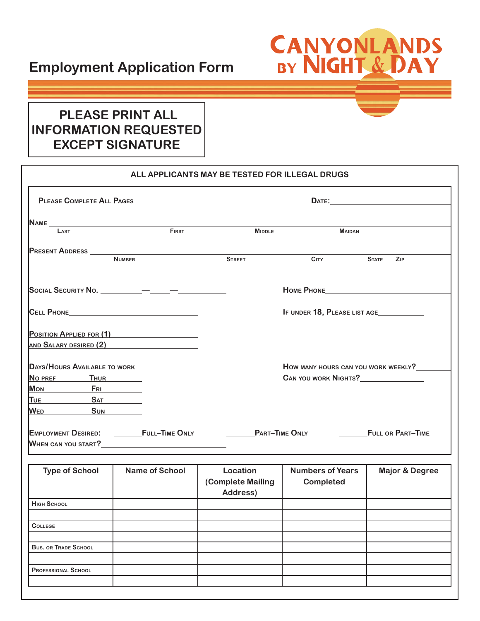## **Employment Application Form**

## **CANYONLANDS**<br>BY NIGHT & DAY

## **PLEASE PRINT ALL INFORMATION REQUESTED EXCEPT SIGNATURE**

**PROFESSIONAL SCHOOL**

| <b>PLEASE COMPLETE ALL PAGES</b>    |                                               |                               |                                     |                           |  |
|-------------------------------------|-----------------------------------------------|-------------------------------|-------------------------------------|---------------------------|--|
|                                     |                                               |                               |                                     |                           |  |
| LAST                                | <b>FIRST</b>                                  | <b>MIDDLE</b>                 | <b>MAIDAN</b>                       |                           |  |
| PRESENT ADDRESS _____________       |                                               |                               |                                     |                           |  |
|                                     | <b>NUMBER</b>                                 | <b>STREET</b>                 | <b>CITY</b>                         | <b>STATE</b><br>ZIP       |  |
|                                     |                                               |                               | HOME PHONE <b>FOR A STATE</b>       |                           |  |
|                                     |                                               | IF UNDER 18, PLEASE LIST AGE  |                                     |                           |  |
|                                     | POSITION APPLIED FOR (1)                      |                               |                                     |                           |  |
|                                     | AND SALARY DESIRED (2) AND SALARY DESIRED (2) |                               |                                     |                           |  |
| <b>DAYS/HOURS AVAILABLE TO WORK</b> |                                               |                               | HOW MANY HOURS CAN YOU WORK WEEKLY? |                           |  |
| NO PREF THUR                        |                                               | CAN YOU WORK NIGHTS?          |                                     |                           |  |
| Mon FRI                             |                                               |                               |                                     |                           |  |
| TUE SAT                             |                                               |                               |                                     |                           |  |
| WED SUN                             |                                               |                               |                                     |                           |  |
|                                     | EMPLOYMENT DESIRED: __________FULL-TIME ONLY  | <b>PART-TIME ONLY</b>         |                                     | FULL OR PART-TIME         |  |
|                                     |                                               |                               |                                     |                           |  |
|                                     | <b>Name of School</b>                         | Location                      | <b>Numbers of Years</b>             |                           |  |
| <b>Type of School</b>               |                                               | (Complete Mailing<br>Address) | <b>Completed</b>                    | <b>Major &amp; Degree</b> |  |
| <b>HIGH SCHOOL</b>                  |                                               |                               |                                     |                           |  |
|                                     |                                               |                               |                                     |                           |  |
| <b>COLLEGE</b>                      |                                               |                               |                                     |                           |  |
| <b>BUS. OR TRADE SCHOOL</b>         |                                               |                               |                                     |                           |  |
|                                     |                                               |                               |                                     |                           |  |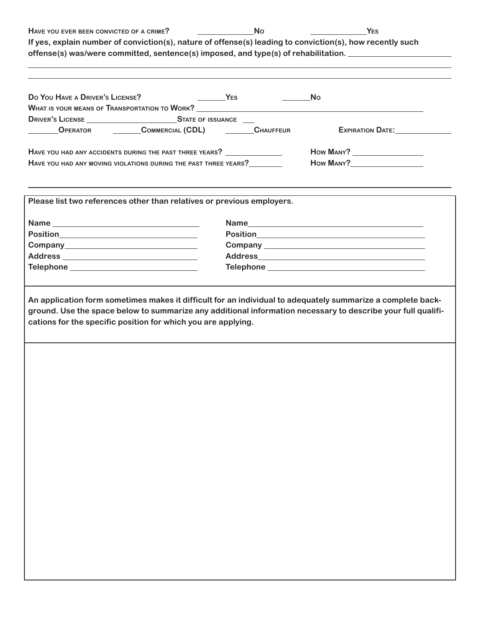| HAVE YOU EVER BEEN CONVICTED OF A CRIME?                                                                                   |                            | <b>No</b>            | YES<br>If yes, explain number of conviction(s), nature of offense(s) leading to conviction(s), how recently such<br>offense(s) was/were committed, sentence(s) imposed, and type(s) of rehabilitation. |
|----------------------------------------------------------------------------------------------------------------------------|----------------------------|----------------------|--------------------------------------------------------------------------------------------------------------------------------------------------------------------------------------------------------|
| Do You HAVE A DRIVER'S LICENSE?                                                                                            | $Y_{ES}$                   | <u>and the state</u> | No<br>WHAT IS YOUR MEANS OF TRANSPORTATION TO WORK?<br><u> UNATIS YOUR MEANS OF TRANSPORTATION TO WORK?</u>                                                                                            |
| <b>OPERATOR</b>                                                                                                            | COMMERCIAL (CDL) CHAUFFEUR |                      | EXPIRATION DATE:                                                                                                                                                                                       |
| HAVE YOU HAD ANY ACCIDENTS DURING THE PAST THREE YEARS?<br>HAVE YOU HAD ANY MOVING VIOLATIONS DURING THE PAST THREE YEARS? |                            |                      |                                                                                                                                                                                                        |
| Please list two references other than relatives or previous employers.                                                     |                            |                      |                                                                                                                                                                                                        |
|                                                                                                                            |                            |                      |                                                                                                                                                                                                        |
|                                                                                                                            |                            |                      |                                                                                                                                                                                                        |
|                                                                                                                            |                            |                      |                                                                                                                                                                                                        |
|                                                                                                                            |                            |                      |                                                                                                                                                                                                        |
|                                                                                                                            |                            |                      |                                                                                                                                                                                                        |
| cations for the specific position for which you are applying.                                                              |                            |                      | ground. Use the space below to summarize any additional information necessary to describe your full qualifi-                                                                                           |
|                                                                                                                            |                            |                      |                                                                                                                                                                                                        |
|                                                                                                                            |                            |                      |                                                                                                                                                                                                        |
|                                                                                                                            |                            |                      |                                                                                                                                                                                                        |
|                                                                                                                            |                            |                      |                                                                                                                                                                                                        |
|                                                                                                                            |                            |                      |                                                                                                                                                                                                        |
|                                                                                                                            |                            |                      |                                                                                                                                                                                                        |
|                                                                                                                            |                            |                      |                                                                                                                                                                                                        |
|                                                                                                                            |                            |                      |                                                                                                                                                                                                        |
|                                                                                                                            |                            |                      |                                                                                                                                                                                                        |
|                                                                                                                            |                            |                      |                                                                                                                                                                                                        |
|                                                                                                                            |                            |                      |                                                                                                                                                                                                        |
|                                                                                                                            |                            |                      |                                                                                                                                                                                                        |
|                                                                                                                            |                            |                      |                                                                                                                                                                                                        |
|                                                                                                                            |                            |                      |                                                                                                                                                                                                        |
|                                                                                                                            |                            |                      |                                                                                                                                                                                                        |
|                                                                                                                            |                            |                      |                                                                                                                                                                                                        |